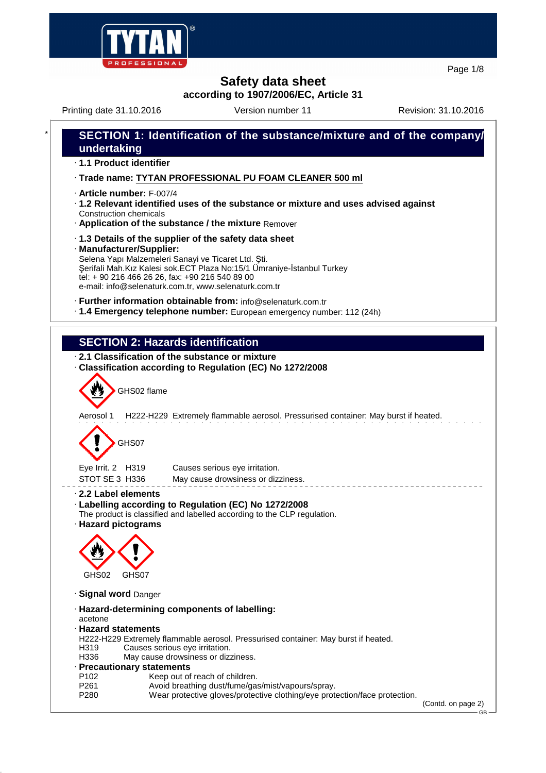

Page 1/8

## **Safety data sheet**

**according to 1907/2006/EC, Article 31**

Printing date 31.10.2016 **Version number 11** Revision: 31.10.2016



GB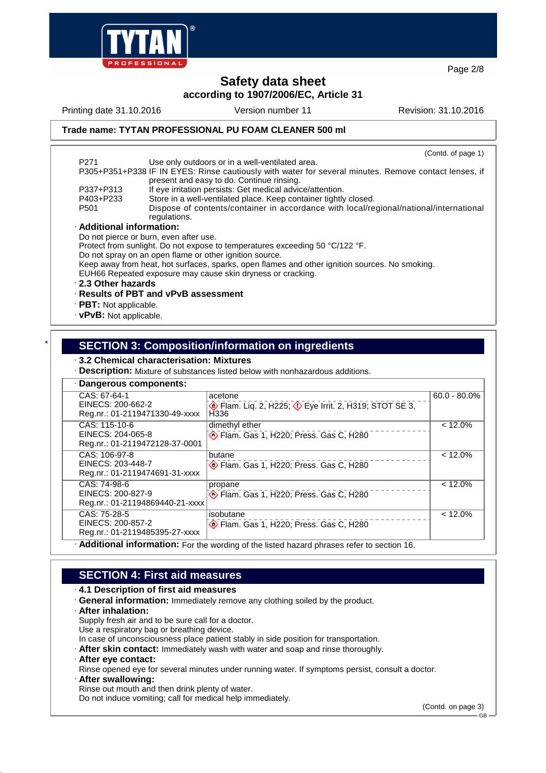

Page 2/8

## **Safety data sheet according to 1907/2006/EC, Article 31**

Printing date 31.10.2016 Version number 11 Revision: 31.10.2016

**Trade name: TYTAN PROFESSIONAL PU FOAM CLEANER 500 ml**

|                                                                                                | (Contd. of page 1)                                                                                                                                 |  |  |  |
|------------------------------------------------------------------------------------------------|----------------------------------------------------------------------------------------------------------------------------------------------------|--|--|--|
| P271                                                                                           | Use only outdoors or in a well-ventilated area.                                                                                                    |  |  |  |
|                                                                                                | P305+P351+P338 IF IN EYES: Rinse cautiously with water for several minutes. Remove contact lenses, if<br>present and easy to do. Continue rinsing. |  |  |  |
| P337+P313                                                                                      | If eye irritation persists: Get medical advice/attention.                                                                                          |  |  |  |
| P403+P233                                                                                      | Store in a well-ventilated place. Keep container tightly closed.                                                                                   |  |  |  |
| P <sub>501</sub>                                                                               | Dispose of contents/container in accordance with local/regional/national/international<br>regulations.                                             |  |  |  |
|                                                                                                | · Additional information:                                                                                                                          |  |  |  |
| Do not pierce or burn, even after use.                                                         |                                                                                                                                                    |  |  |  |
| Protect from sunlight. Do not expose to temperatures exceeding 50 °C/122 °F.                   |                                                                                                                                                    |  |  |  |
| Do not spray on an open flame or other ignition source.                                        |                                                                                                                                                    |  |  |  |
| Keep away from heat, hot surfaces, sparks, open flames and other ignition sources. No smoking. |                                                                                                                                                    |  |  |  |
| EUH66 Repeated exposure may cause skin dryness or cracking.                                    |                                                                                                                                                    |  |  |  |
| 2.3 Other hazards                                                                              |                                                                                                                                                    |  |  |  |
| · Results of PBT and vPvB assessment                                                           |                                                                                                                                                    |  |  |  |
| $\cdot$ PBT: Not applicable.                                                                   |                                                                                                                                                    |  |  |  |
|                                                                                                |                                                                                                                                                    |  |  |  |

· **vPvB:** Not applicable.

## \* **SECTION 3: Composition/information on ingredients**

#### · **3.2 Chemical characterisation: Mixtures**

· **Description:** Mixture of substances listed below with nonhazardous additions.

| · Dangerous components:                                                                     |                                                                                              |                 |  |  |
|---------------------------------------------------------------------------------------------|----------------------------------------------------------------------------------------------|-----------------|--|--|
| CAS: 67-64-1<br>EINECS: 200-662-2<br>Reg.nr.: 01-2119471330-49-xxxx                         | acetone<br>Elam. Liq. 2, H225; $\Diamond$ Eye Irrit. 2, H319; STOT SE 3,<br>H <sub>336</sub> | $60.0 - 80.0\%$ |  |  |
| CAS: 115-10-6<br>EINECS: 204-065-8<br>Reg.nr.: 01-2119472128-37-0001                        | dimethyl ether<br>Flam. Gas 1, H220; Press. Gas C, H280                                      | $< 12.0\%$      |  |  |
| CAS: 106-97-8<br>EINECS: 203-448-7<br>Reg.nr.: 01-2119474691-31-xxxx                        | butane<br>Flam. Gas 1, H220; Press. Gas C, H280                                              | $< 12.0\%$      |  |  |
| CAS: 74-98-6<br>EINECS: 200-827-9<br>Reg.nr.: 01-21194869440-21-xxxx                        | propane<br>Flam. Gas 1, H220; Press. Gas C, H280                                             | $< 12.0\%$      |  |  |
| CAS: 75-28-5<br>EINECS: 200-857-2<br>Reg.nr.: 01-2119485395-27-xxxx                         | isobutane<br>Flam. Gas 1, H220; Press. Gas C, H280                                           | $< 12.0\%$      |  |  |
| · Additional information: For the wording of the listed hazard phrases refer to section 16. |                                                                                              |                 |  |  |

## **SECTION 4: First aid measures**

#### · **4.1 Description of first aid measures**

- · **General information:** Immediately remove any clothing soiled by the product.
- · **After inhalation:**
- Supply fresh air and to be sure call for a doctor.

Use a respiratory bag or breathing device.

- In case of unconsciousness place patient stably in side position for transportation.
- · **After skin contact:** Immediately wash with water and soap and rinse thoroughly.
- · **After eye contact:**
- Rinse opened eye for several minutes under running water. If symptoms persist, consult a doctor.
- · **After swallowing:**
- Rinse out mouth and then drink plenty of water.

Do not induce vomiting; call for medical help immediately.

(Contd. on page 3)

GB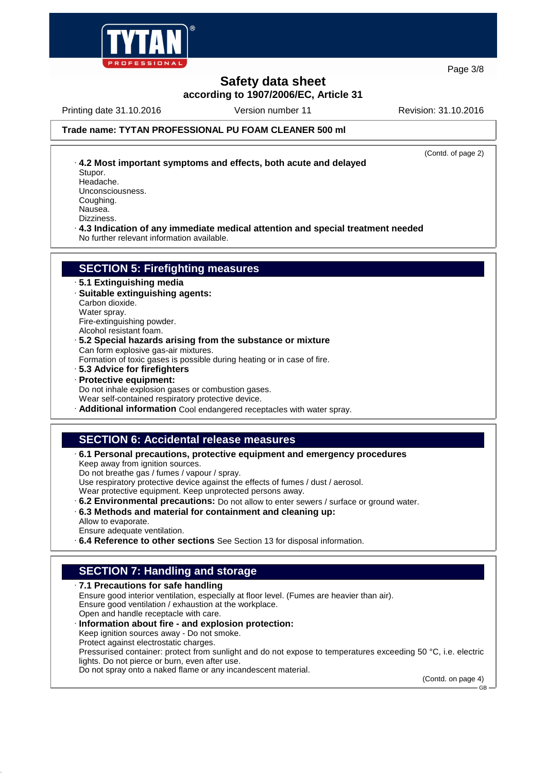

**Safety data sheet according to 1907/2006/EC, Article 31** Page 3/8

#### Printing date 31.10.2016 Version number 11 Revision: 31.10.2016

### **Trade name: TYTAN PROFESSIONAL PU FOAM CLEANER 500 ml**

(Contd. of page 2)

- · **4.2 Most important symptoms and effects, both acute and delayed** Stupor. Headache. Unconsciousness.
- Coughing.

Nausea.

Dizziness.

· **4.3 Indication of any immediate medical attention and special treatment needed** No further relevant information available.

## **SECTION 5: Firefighting measures**

- · **5.1 Extinguishing media**
- · **Suitable extinguishing agents:**
- Carbon dioxide.
- Water spray. Fire-extinguishing powder.
- Alcohol resistant foam.
- · **5.2 Special hazards arising from the substance or mixture** Can form explosive gas-air mixtures.
- Formation of toxic gases is possible during heating or in case of fire.
- · **5.3 Advice for firefighters**
- · **Protective equipment:**

Do not inhale explosion gases or combustion gases.

Wear self-contained respiratory protective device.

· **Additional information** Cool endangered receptacles with water spray.

## **SECTION 6: Accidental release measures**

#### · **6.1 Personal precautions, protective equipment and emergency procedures**

Keep away from ignition sources.

Do not breathe gas / fumes / vapour / spray.

Use respiratory protective device against the effects of fumes / dust / aerosol.

Wear protective equipment. Keep unprotected persons away.

- · **6.2 Environmental precautions:** Do not allow to enter sewers / surface or ground water.
- · **6.3 Methods and material for containment and cleaning up:**
- Allow to evaporate. Ensure adequate ventilation.
- · **6.4 Reference to other sections** See Section 13 for disposal information.

## **SECTION 7: Handling and storage**

· **7.1 Precautions for safe handling** Ensure good interior ventilation, especially at floor level. (Fumes are heavier than air). Ensure good ventilation / exhaustion at the workplace. Open and handle receptacle with care. · **Information about fire - and explosion protection:** Keep ignition sources away - Do not smoke. Protect against electrostatic charges. Pressurised container: protect from sunlight and do not expose to temperatures exceeding 50 °C, i.e. electric lights. Do not pierce or burn, even after use.

Do not spray onto a naked flame or any incandescent material.

(Contd. on page 4)

GB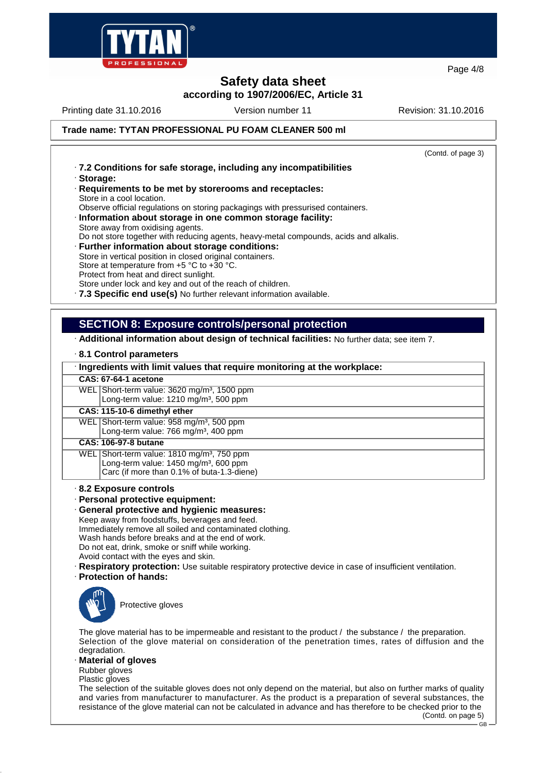

**Safety data sheet according to 1907/2006/EC, Article 31** Page 4/8

## Printing date 31.10.2016 Version number 11 Revision: 31.10.2016

**Trade name: TYTAN PROFESSIONAL PU FOAM CLEANER 500 ml**

(Contd. of page 3)

- · **7.2 Conditions for safe storage, including any incompatibilities**
- · **Storage:**
- · **Requirements to be met by storerooms and receptacles:** Store in a cool location.

Observe official regulations on storing packagings with pressurised containers.

- · **Information about storage in one common storage facility:**
- Store away from oxidising agents.

Do not store together with reducing agents, heavy-metal compounds, acids and alkalis.

· **Further information about storage conditions:** Store in vertical position in closed original containers. Store at temperature from +5 °C to +30 °C. Protect from heat and direct sunlight.

Store under lock and key and out of the reach of children.

· **7.3 Specific end use(s)** No further relevant information available.

## **SECTION 8: Exposure controls/personal protection**

· **Additional information about design of technical facilities:** No further data; see item 7.

#### · **8.1 Control parameters**

#### · **Ingredients with limit values that require monitoring at the workplace:**

- **CAS: 67-64-1 acetone**
- WEL Short-term value: 3620 mg/m<sup>3</sup>, 1500 ppm Long-term value:  $1210 \text{ ma/m}^3$ , 500 ppm

**CAS: 115-10-6 dimethyl ether**

WEL Short-term value: 958 mg/m<sup>3</sup>, 500 ppm Long-term value: 766 mg/m<sup>3</sup>, 400 ppm

#### **CAS: 106-97-8 butane**

- WEL Short-term value: 1810 mg/m<sup>3</sup>, 750 ppm Long-term value:  $1450$  mg/m<sup>3</sup>, 600 ppm
	- Carc (if more than 0.1% of buta-1.3-diene)

#### · **8.2 Exposure controls**

- · **Personal protective equipment:**
- · **General protective and hygienic measures:**
- Keep away from foodstuffs, beverages and feed. Immediately remove all soiled and contaminated clothing. Wash hands before breaks and at the end of work. Do not eat, drink, smoke or sniff while working. Avoid contact with the eyes and skin.
- 
- · **Respiratory protection:** Use suitable respiratory protective device in case of insufficient ventilation.
- · **Protection of hands:**



Protective gloves

The glove material has to be impermeable and resistant to the product / the substance / the preparation. Selection of the glove material on consideration of the penetration times, rates of diffusion and the degradation.

#### **Material of gloves**

Rubber gloves

Plastic gloves

The selection of the suitable gloves does not only depend on the material, but also on further marks of quality and varies from manufacturer to manufacturer. As the product is a preparation of several substances, the resistance of the glove material can not be calculated in advance and has therefore to be checked prior to the (Contd. on page 5)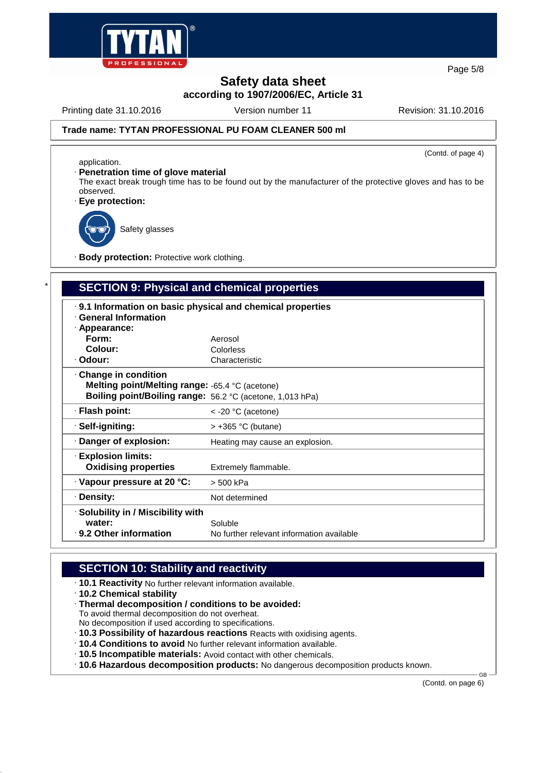

Page 5/8

# **Safety data sheet**

**according to 1907/2006/EC, Article 31**

Printing date 31.10.2016 Version number 11 Revision: 31.10.2016

(Contd. of page 4)

## **Trade name: TYTAN PROFESSIONAL PU FOAM CLEANER 500 ml**

application.

· **Penetration time of glove material**

The exact break trough time has to be found out by the manufacturer of the protective gloves and has to be observed.

· **Eye protection:**



Safety glasses

· **Body protection:** Protective work clothing.

## **SECTION 9: Physical and chemical properties**

| .9.1 Information on basic physical and chemical properties<br>· General Information<br>· Appearance: |                                           |  |  |  |
|------------------------------------------------------------------------------------------------------|-------------------------------------------|--|--|--|
| Form:                                                                                                | Aerosol                                   |  |  |  |
| Colour:                                                                                              | Colorless                                 |  |  |  |
| · Odour:                                                                                             | Characteristic                            |  |  |  |
| $\cdot$ Change in condition                                                                          |                                           |  |  |  |
| Melting point/Melting range: -65.4 °C (acetone)                                                      |                                           |  |  |  |
| Boiling point/Boiling range: 56.2 °C (acetone, 1,013 hPa)                                            |                                           |  |  |  |
| · Flash point:                                                                                       | $\le$ -20 °C (acetone)                    |  |  |  |
| ⋅ Self-igniting:                                                                                     | $>$ +365 °C (butane)                      |  |  |  |
| · Danger of explosion:                                                                               | Heating may cause an explosion.           |  |  |  |
| <b>Explosion limits:</b>                                                                             |                                           |  |  |  |
| <b>Oxidising properties</b>                                                                          | Extremely flammable.                      |  |  |  |
| $\cdot$ Vapour pressure at 20 °C:                                                                    | > 500 kPa                                 |  |  |  |
| · Density:                                                                                           | Not determined                            |  |  |  |
| · Solubility in / Miscibility with                                                                   |                                           |  |  |  |
| water:                                                                                               | Soluble                                   |  |  |  |
| $\cdot$ 9.2 Other information                                                                        | No further relevant information available |  |  |  |

## **SECTION 10: Stability and reactivity**

- · **10.1 Reactivity** No further relevant information available.
- · **10.2 Chemical stability**
- · **Thermal decomposition / conditions to be avoided:**

To avoid thermal decomposition do not overheat.

- No decomposition if used according to specifications.
- · **10.3 Possibility of hazardous reactions** Reacts with oxidising agents.
- · **10.4 Conditions to avoid** No further relevant information available.
- · **10.5 Incompatible materials:** Avoid contact with other chemicals.
- · **10.6 Hazardous decomposition products:** No dangerous decomposition products known.

(Contd. on page 6)

GB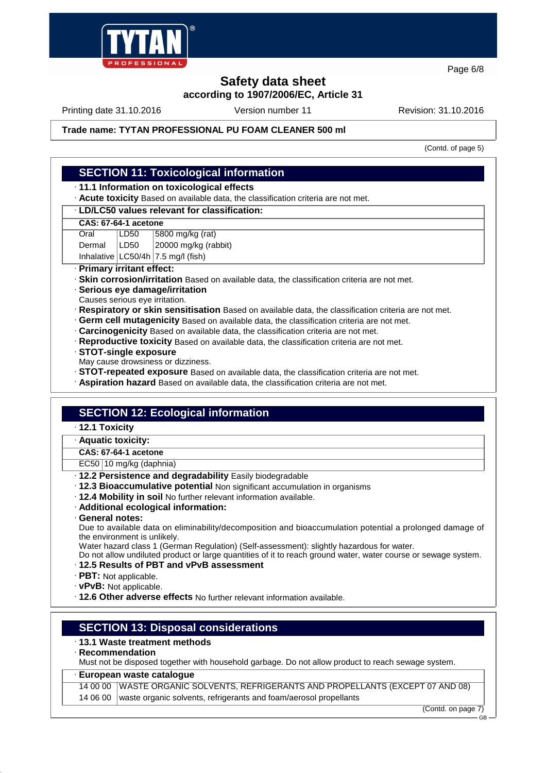

Page 6/8

# **Safety data sheet**

**according to 1907/2006/EC, Article 31**

Printing date 31.10.2016 Version number 11 Revision: 31.10.2016

## **Trade name: TYTAN PROFESSIONAL PU FOAM CLEANER 500 ml**

(Contd. of page 5)

## **SECTION 11: Toxicological information**

· **11.1 Information on toxicological effects**

· **Acute toxicity** Based on available data, the classification criteria are not met.

#### · **LD/LC50 values relevant for classification:**

#### **CAS: 67-64-1 acetone**

Oral LD50 5800 mg/kg (rat)

Dermal | LD50 | 20000 mg/kg (rabbit)

Inhalative  $|$  LC50/4h  $|$  7.5 mg/l (fish)

## · **Primary irritant effect:**

- · **Skin corrosion/irritation** Based on available data, the classification criteria are not met.
- · **Serious eye damage/irritation**
- Causes serious eye irritation.
- · **Respiratory or skin sensitisation** Based on available data, the classification criteria are not met.
- · **Germ cell mutagenicity** Based on available data, the classification criteria are not met.
- · **Carcinogenicity** Based on available data, the classification criteria are not met.
- · **Reproductive toxicity** Based on available data, the classification criteria are not met.
- · **STOT-single exposure**
- May cause drowsiness or dizziness.
- · **STOT-repeated exposure** Based on available data, the classification criteria are not met.
- · **Aspiration hazard** Based on available data, the classification criteria are not met.

## **SECTION 12: Ecological information**

- · **12.1 Toxicity**
- · **Aquatic toxicity:**

## **CAS: 67-64-1 acetone**

EC50 10 mg/kg (daphnia)

- · **12.2 Persistence and degradability** Easily biodegradable
- · **12.3 Bioaccumulative potential** Non significant accumulation in organisms
- · **12.4 Mobility in soil** No further relevant information available.
- · **Additional ecological information:**
- · **General notes:**

Due to available data on eliminability/decomposition and bioaccumulation potential a prolonged damage of the environment is unlikely.

Water hazard class 1 (German Regulation) (Self-assessment): slightly hazardous for water.

Do not allow undiluted product or large quantities of it to reach ground water, water course or sewage system.

- · **12.5 Results of PBT and vPvB assessment**
- · **PBT:** Not applicable.
- · **vPvB:** Not applicable.
- · **12.6 Other adverse effects** No further relevant information available.

## **SECTION 13: Disposal considerations**

#### · **13.1 Waste treatment methods**

· **Recommendation**

Must not be disposed together with household garbage. Do not allow product to reach sewage system.

#### · **European waste catalogue**

14 00 00 WASTE ORGANIC SOLVENTS, REFRIGERANTS AND PROPELLANTS (EXCEPT 07 AND 08)

14 06 00 waste organic solvents, refrigerants and foam/aerosol propellants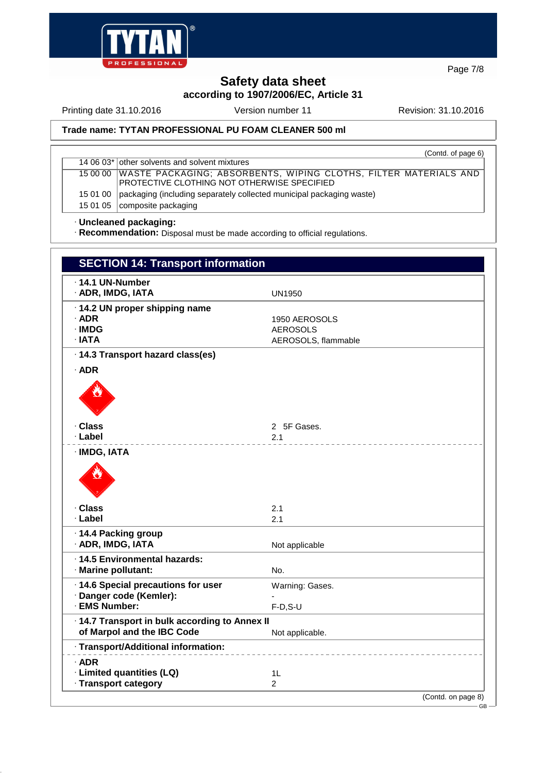

Page 7/8

# **Safety data sheet**

**according to 1907/2006/EC, Article 31**

Printing date 31.10.2016 Version number 11 Revision: 31.10.2016

## **Trade name: TYTAN PROFESSIONAL PU FOAM CLEANER 500 ml**

|          | (Contd. of page 6)                                                                                                         |  |
|----------|----------------------------------------------------------------------------------------------------------------------------|--|
|          | 14 06 03* other solvents and solvent mixtures                                                                              |  |
|          | 15 00 00   WASTE PACKAGING; ABSORBENTS, WIPING CLOTHS, FILTER MATERIALS AND<br>PROTECTIVE CLOTHING NOT OTHERWISE SPECIFIED |  |
|          |                                                                                                                            |  |
| 15 01 00 | packaging (including separately collected municipal packaging waste)                                                       |  |
|          | 15 01 05   composite packaging                                                                                             |  |

## · **Uncleaned packaging:**

· **Recommendation:** Disposal must be made according to official regulations.

| <b>SECTION 14: Transport information</b>                                     |                                                         |  |
|------------------------------------------------------------------------------|---------------------------------------------------------|--|
| $\cdot$ 14.1 UN-Number<br>· ADR, IMDG, IATA                                  | <b>UN1950</b>                                           |  |
| · 14.2 UN proper shipping name<br>$\cdot$ ADR<br>∙IMDG<br>$\cdot$ IATA       | 1950 AEROSOLS<br><b>AEROSOLS</b><br>AEROSOLS, flammable |  |
| · 14.3 Transport hazard class(es)                                            |                                                         |  |
| $\cdot$ ADR                                                                  |                                                         |  |
| · Class                                                                      | 2 5F Gases.                                             |  |
| ∙ Label<br>· IMDG, IATA                                                      | 2.1                                                     |  |
|                                                                              |                                                         |  |
| ∙ Class                                                                      | 2.1                                                     |  |
| · Label                                                                      | 2.1                                                     |  |
| ⋅14.4 Packing group<br>· ADR, IMDG, IATA                                     | Not applicable                                          |  |
| · 14.5 Environmental hazards:<br>· Marine pollutant:                         | No.                                                     |  |
| · 14.6 Special precautions for user<br>· Danger code (Kemler):               | Warning: Gases.                                         |  |
| · EMS Number:                                                                | $F-D, S-U$                                              |  |
| · 14.7 Transport in bulk according to Annex II<br>of Marpol and the IBC Code | Not applicable.                                         |  |
| · Transport/Additional information:                                          |                                                         |  |
| $\cdot$ ADR<br>· Limited quantities (LQ)<br>· Transport category             | 1 <sub>L</sub><br>$\overline{2}$                        |  |
|                                                                              | (Contd. on page 8)                                      |  |
|                                                                              | GB-                                                     |  |